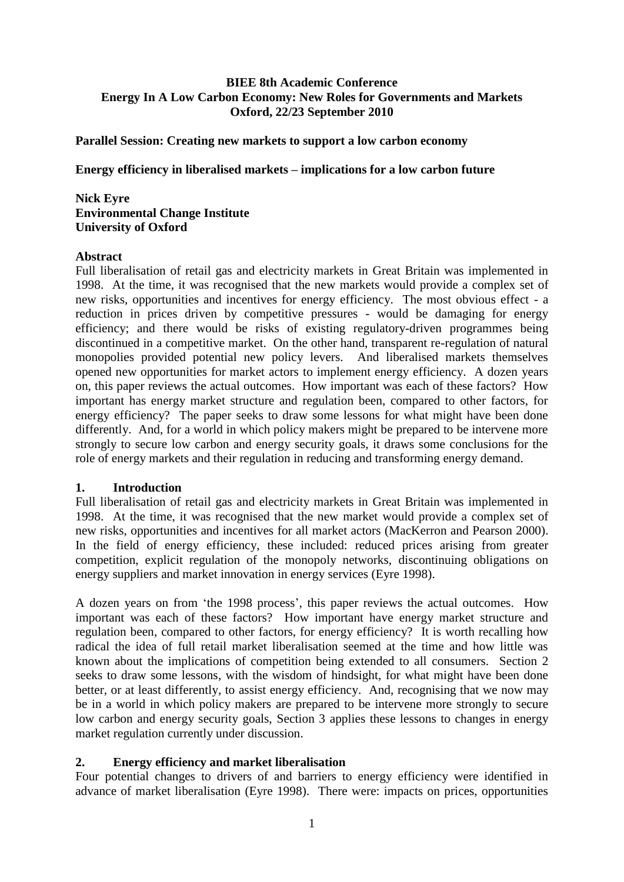## **BIEE 8th Academic Conference Energy In A Low Carbon Economy: New Roles for Governments and Markets Oxford, 22/23 September 2010**

#### **Parallel Session: Creating new markets to support a low carbon economy**

**Energy efficiency in liberalised markets – implications for a low carbon future**

#### **Nick Eyre Environmental Change Institute University of Oxford**

#### **Abstract**

Full liberalisation of retail gas and electricity markets in Great Britain was implemented in 1998. At the time, it was recognised that the new markets would provide a complex set of new risks, opportunities and incentives for energy efficiency. The most obvious effect - a reduction in prices driven by competitive pressures - would be damaging for energy efficiency; and there would be risks of existing regulatory-driven programmes being discontinued in a competitive market. On the other hand, transparent re-regulation of natural monopolies provided potential new policy levers. And liberalised markets themselves opened new opportunities for market actors to implement energy efficiency. A dozen years on, this paper reviews the actual outcomes. How important was each of these factors? How important has energy market structure and regulation been, compared to other factors, for energy efficiency? The paper seeks to draw some lessons for what might have been done differently. And, for a world in which policy makers might be prepared to be intervene more strongly to secure low carbon and energy security goals, it draws some conclusions for the role of energy markets and their regulation in reducing and transforming energy demand.

#### **1. Introduction**

Full liberalisation of retail gas and electricity markets in Great Britain was implemented in 1998. At the time, it was recognised that the new market would provide a complex set of new risks, opportunities and incentives for all market actors (MacKerron and Pearson 2000). In the field of energy efficiency, these included: reduced prices arising from greater competition, explicit regulation of the monopoly networks, discontinuing obligations on energy suppliers and market innovation in energy services (Eyre 1998).

A dozen years on from 'the 1998 process', this paper reviews the actual outcomes. How important was each of these factors? How important have energy market structure and regulation been, compared to other factors, for energy efficiency? It is worth recalling how radical the idea of full retail market liberalisation seemed at the time and how little was known about the implications of competition being extended to all consumers. Section 2 seeks to draw some lessons, with the wisdom of hindsight, for what might have been done better, or at least differently, to assist energy efficiency. And, recognising that we now may be in a world in which policy makers are prepared to be intervene more strongly to secure low carbon and energy security goals, Section 3 applies these lessons to changes in energy market regulation currently under discussion.

#### **2. Energy efficiency and market liberalisation**

Four potential changes to drivers of and barriers to energy efficiency were identified in advance of market liberalisation (Eyre 1998). There were: impacts on prices, opportunities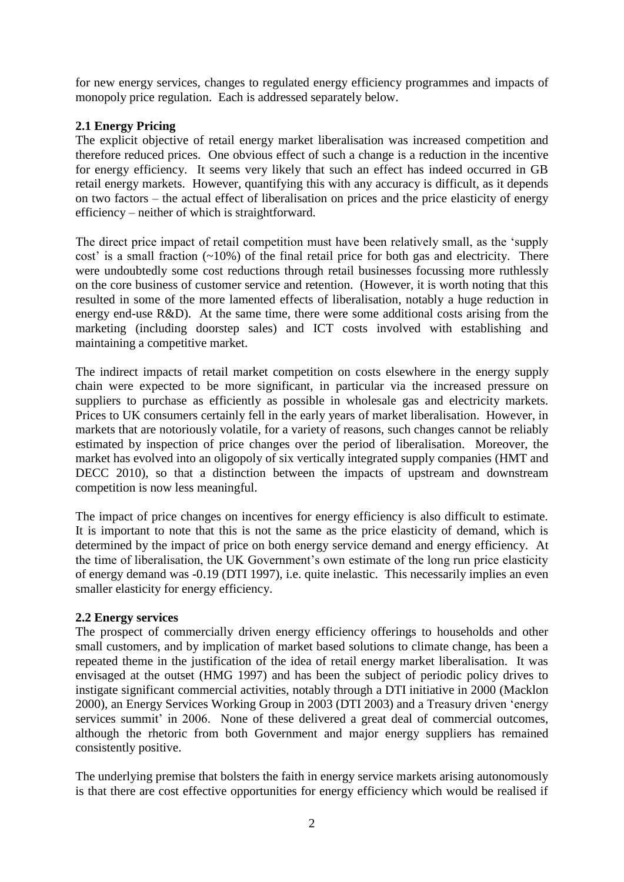for new energy services, changes to regulated energy efficiency programmes and impacts of monopoly price regulation. Each is addressed separately below.

# **2.1 Energy Pricing**

The explicit objective of retail energy market liberalisation was increased competition and therefore reduced prices. One obvious effect of such a change is a reduction in the incentive for energy efficiency. It seems very likely that such an effect has indeed occurred in GB retail energy markets. However, quantifying this with any accuracy is difficult, as it depends on two factors – the actual effect of liberalisation on prices and the price elasticity of energy efficiency – neither of which is straightforward.

The direct price impact of retail competition must have been relatively small, as the "supply cost' is a small fraction  $(-10\%)$  of the final retail price for both gas and electricity. There were undoubtedly some cost reductions through retail businesses focussing more ruthlessly on the core business of customer service and retention. (However, it is worth noting that this resulted in some of the more lamented effects of liberalisation, notably a huge reduction in energy end-use R&D). At the same time, there were some additional costs arising from the marketing (including doorstep sales) and ICT costs involved with establishing and maintaining a competitive market.

The indirect impacts of retail market competition on costs elsewhere in the energy supply chain were expected to be more significant, in particular via the increased pressure on suppliers to purchase as efficiently as possible in wholesale gas and electricity markets. Prices to UK consumers certainly fell in the early years of market liberalisation. However, in markets that are notoriously volatile, for a variety of reasons, such changes cannot be reliably estimated by inspection of price changes over the period of liberalisation. Moreover, the market has evolved into an oligopoly of six vertically integrated supply companies (HMT and DECC 2010), so that a distinction between the impacts of upstream and downstream competition is now less meaningful.

The impact of price changes on incentives for energy efficiency is also difficult to estimate. It is important to note that this is not the same as the price elasticity of demand, which is determined by the impact of price on both energy service demand and energy efficiency. At the time of liberalisation, the UK Government's own estimate of the long run price elasticity of energy demand was -0.19 (DTI 1997), i.e. quite inelastic. This necessarily implies an even smaller elasticity for energy efficiency.

# **2.2 Energy services**

The prospect of commercially driven energy efficiency offerings to households and other small customers, and by implication of market based solutions to climate change, has been a repeated theme in the justification of the idea of retail energy market liberalisation. It was envisaged at the outset (HMG 1997) and has been the subject of periodic policy drives to instigate significant commercial activities, notably through a DTI initiative in 2000 (Macklon 2000), an Energy Services Working Group in 2003 (DTI 2003) and a Treasury driven "energy services summit' in 2006. None of these delivered a great deal of commercial outcomes, although the rhetoric from both Government and major energy suppliers has remained consistently positive.

The underlying premise that bolsters the faith in energy service markets arising autonomously is that there are cost effective opportunities for energy efficiency which would be realised if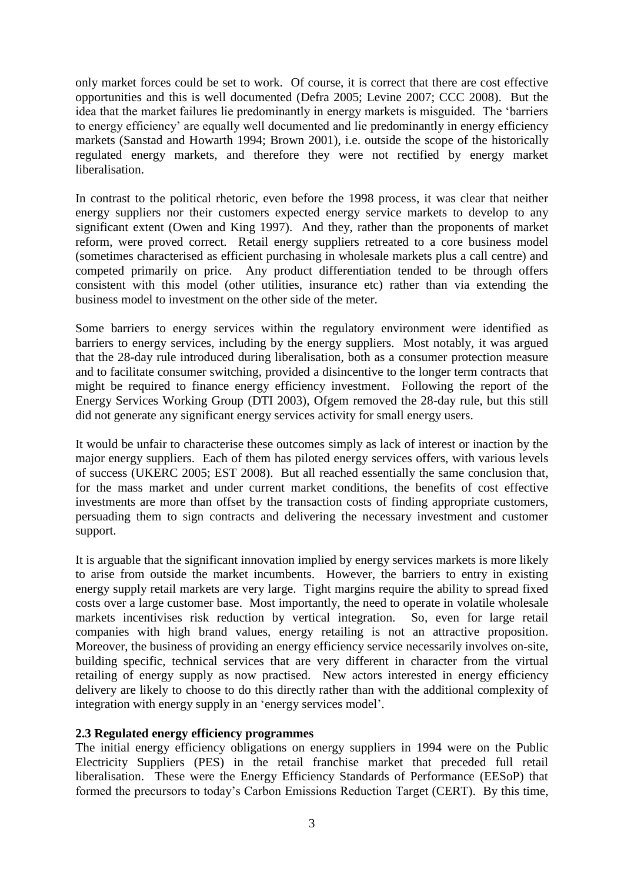only market forces could be set to work. Of course, it is correct that there are cost effective opportunities and this is well documented (Defra 2005; Levine 2007; CCC 2008). But the idea that the market failures lie predominantly in energy markets is misguided. The "barriers to energy efficiency" are equally well documented and lie predominantly in energy efficiency markets (Sanstad and Howarth 1994; Brown 2001), i.e. outside the scope of the historically regulated energy markets, and therefore they were not rectified by energy market liberalisation.

In contrast to the political rhetoric, even before the 1998 process, it was clear that neither energy suppliers nor their customers expected energy service markets to develop to any significant extent (Owen and King 1997). And they, rather than the proponents of market reform, were proved correct. Retail energy suppliers retreated to a core business model (sometimes characterised as efficient purchasing in wholesale markets plus a call centre) and competed primarily on price. Any product differentiation tended to be through offers consistent with this model (other utilities, insurance etc) rather than via extending the business model to investment on the other side of the meter.

Some barriers to energy services within the regulatory environment were identified as barriers to energy services, including by the energy suppliers. Most notably, it was argued that the 28-day rule introduced during liberalisation, both as a consumer protection measure and to facilitate consumer switching, provided a disincentive to the longer term contracts that might be required to finance energy efficiency investment. Following the report of the Energy Services Working Group (DTI 2003), Ofgem removed the 28-day rule, but this still did not generate any significant energy services activity for small energy users.

It would be unfair to characterise these outcomes simply as lack of interest or inaction by the major energy suppliers. Each of them has piloted energy services offers, with various levels of success (UKERC 2005; EST 2008). But all reached essentially the same conclusion that, for the mass market and under current market conditions, the benefits of cost effective investments are more than offset by the transaction costs of finding appropriate customers, persuading them to sign contracts and delivering the necessary investment and customer support.

It is arguable that the significant innovation implied by energy services markets is more likely to arise from outside the market incumbents. However, the barriers to entry in existing energy supply retail markets are very large. Tight margins require the ability to spread fixed costs over a large customer base. Most importantly, the need to operate in volatile wholesale markets incentivises risk reduction by vertical integration. So, even for large retail companies with high brand values, energy retailing is not an attractive proposition. Moreover, the business of providing an energy efficiency service necessarily involves on-site, building specific, technical services that are very different in character from the virtual retailing of energy supply as now practised. New actors interested in energy efficiency delivery are likely to choose to do this directly rather than with the additional complexity of integration with energy supply in an "energy services model".

#### **2.3 Regulated energy efficiency programmes**

The initial energy efficiency obligations on energy suppliers in 1994 were on the Public Electricity Suppliers (PES) in the retail franchise market that preceded full retail liberalisation. These were the Energy Efficiency Standards of Performance (EESoP) that formed the precursors to today"s Carbon Emissions Reduction Target (CERT). By this time,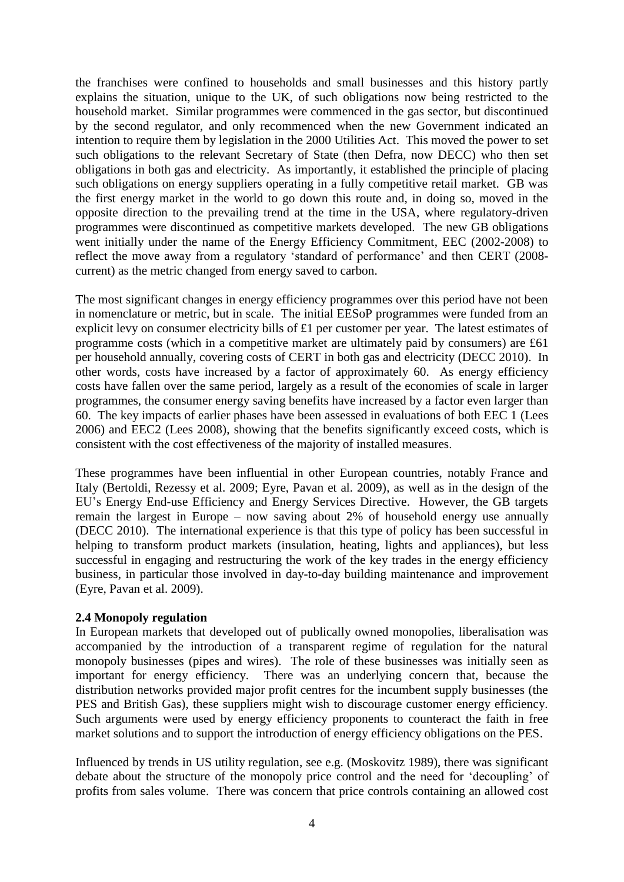the franchises were confined to households and small businesses and this history partly explains the situation, unique to the UK, of such obligations now being restricted to the household market. Similar programmes were commenced in the gas sector, but discontinued by the second regulator, and only recommenced when the new Government indicated an intention to require them by legislation in the 2000 Utilities Act. This moved the power to set such obligations to the relevant Secretary of State (then Defra, now DECC) who then set obligations in both gas and electricity. As importantly, it established the principle of placing such obligations on energy suppliers operating in a fully competitive retail market. GB was the first energy market in the world to go down this route and, in doing so, moved in the opposite direction to the prevailing trend at the time in the USA, where regulatory-driven programmes were discontinued as competitive markets developed. The new GB obligations went initially under the name of the Energy Efficiency Commitment, EEC (2002-2008) to reflect the move away from a regulatory 'standard of performance' and then CERT (2008current) as the metric changed from energy saved to carbon.

The most significant changes in energy efficiency programmes over this period have not been in nomenclature or metric, but in scale. The initial EESoP programmes were funded from an explicit levy on consumer electricity bills of £1 per customer per year. The latest estimates of programme costs (which in a competitive market are ultimately paid by consumers) are £61 per household annually, covering costs of CERT in both gas and electricity (DECC 2010). In other words, costs have increased by a factor of approximately 60. As energy efficiency costs have fallen over the same period, largely as a result of the economies of scale in larger programmes, the consumer energy saving benefits have increased by a factor even larger than 60. The key impacts of earlier phases have been assessed in evaluations of both EEC 1 (Lees 2006) and EEC2 (Lees 2008), showing that the benefits significantly exceed costs, which is consistent with the cost effectiveness of the majority of installed measures.

These programmes have been influential in other European countries, notably France and Italy (Bertoldi, Rezessy et al. 2009; Eyre, Pavan et al. 2009), as well as in the design of the EU"s Energy End-use Efficiency and Energy Services Directive. However, the GB targets remain the largest in Europe – now saving about 2% of household energy use annually (DECC 2010). The international experience is that this type of policy has been successful in helping to transform product markets (insulation, heating, lights and appliances), but less successful in engaging and restructuring the work of the key trades in the energy efficiency business, in particular those involved in day-to-day building maintenance and improvement (Eyre, Pavan et al. 2009).

#### **2.4 Monopoly regulation**

In European markets that developed out of publically owned monopolies, liberalisation was accompanied by the introduction of a transparent regime of regulation for the natural monopoly businesses (pipes and wires). The role of these businesses was initially seen as important for energy efficiency. There was an underlying concern that, because the distribution networks provided major profit centres for the incumbent supply businesses (the PES and British Gas), these suppliers might wish to discourage customer energy efficiency. Such arguments were used by energy efficiency proponents to counteract the faith in free market solutions and to support the introduction of energy efficiency obligations on the PES.

Influenced by trends in US utility regulation, see e.g. (Moskovitz 1989), there was significant debate about the structure of the monopoly price control and the need for "decoupling" of profits from sales volume. There was concern that price controls containing an allowed cost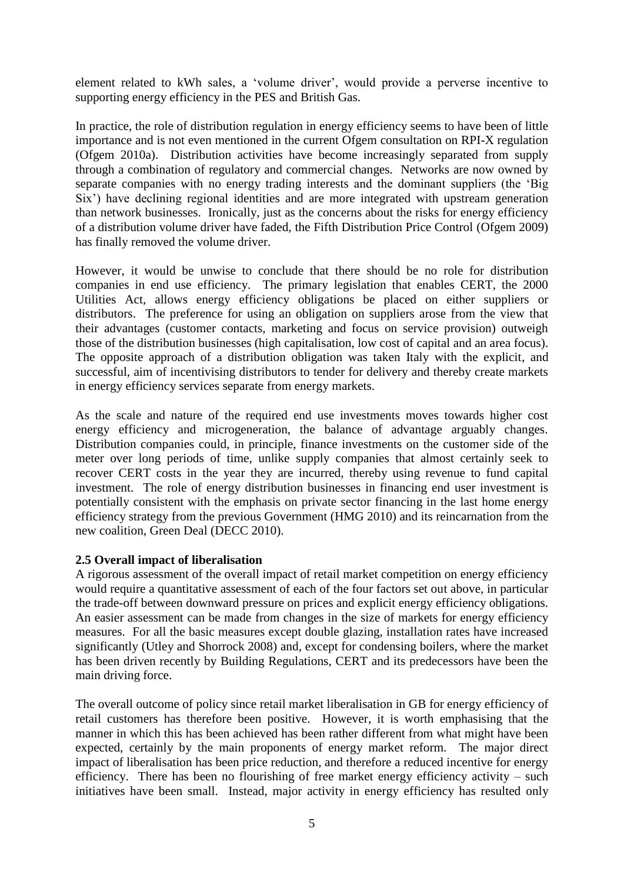element related to kWh sales, a "volume driver", would provide a perverse incentive to supporting energy efficiency in the PES and British Gas.

In practice, the role of distribution regulation in energy efficiency seems to have been of little importance and is not even mentioned in the current Ofgem consultation on RPI-X regulation (Ofgem 2010a). Distribution activities have become increasingly separated from supply through a combination of regulatory and commercial changes. Networks are now owned by separate companies with no energy trading interests and the dominant suppliers (the "Big Six") have declining regional identities and are more integrated with upstream generation than network businesses. Ironically, just as the concerns about the risks for energy efficiency of a distribution volume driver have faded, the Fifth Distribution Price Control (Ofgem 2009) has finally removed the volume driver.

However, it would be unwise to conclude that there should be no role for distribution companies in end use efficiency. The primary legislation that enables CERT, the 2000 Utilities Act, allows energy efficiency obligations be placed on either suppliers or distributors. The preference for using an obligation on suppliers arose from the view that their advantages (customer contacts, marketing and focus on service provision) outweigh those of the distribution businesses (high capitalisation, low cost of capital and an area focus). The opposite approach of a distribution obligation was taken Italy with the explicit, and successful, aim of incentivising distributors to tender for delivery and thereby create markets in energy efficiency services separate from energy markets.

As the scale and nature of the required end use investments moves towards higher cost energy efficiency and microgeneration, the balance of advantage arguably changes. Distribution companies could, in principle, finance investments on the customer side of the meter over long periods of time, unlike supply companies that almost certainly seek to recover CERT costs in the year they are incurred, thereby using revenue to fund capital investment. The role of energy distribution businesses in financing end user investment is potentially consistent with the emphasis on private sector financing in the last home energy efficiency strategy from the previous Government (HMG 2010) and its reincarnation from the new coalition, Green Deal (DECC 2010).

#### **2.5 Overall impact of liberalisation**

A rigorous assessment of the overall impact of retail market competition on energy efficiency would require a quantitative assessment of each of the four factors set out above, in particular the trade-off between downward pressure on prices and explicit energy efficiency obligations. An easier assessment can be made from changes in the size of markets for energy efficiency measures. For all the basic measures except double glazing, installation rates have increased significantly (Utley and Shorrock 2008) and, except for condensing boilers, where the market has been driven recently by Building Regulations, CERT and its predecessors have been the main driving force.

The overall outcome of policy since retail market liberalisation in GB for energy efficiency of retail customers has therefore been positive. However, it is worth emphasising that the manner in which this has been achieved has been rather different from what might have been expected, certainly by the main proponents of energy market reform. The major direct impact of liberalisation has been price reduction, and therefore a reduced incentive for energy efficiency. There has been no flourishing of free market energy efficiency activity – such initiatives have been small. Instead, major activity in energy efficiency has resulted only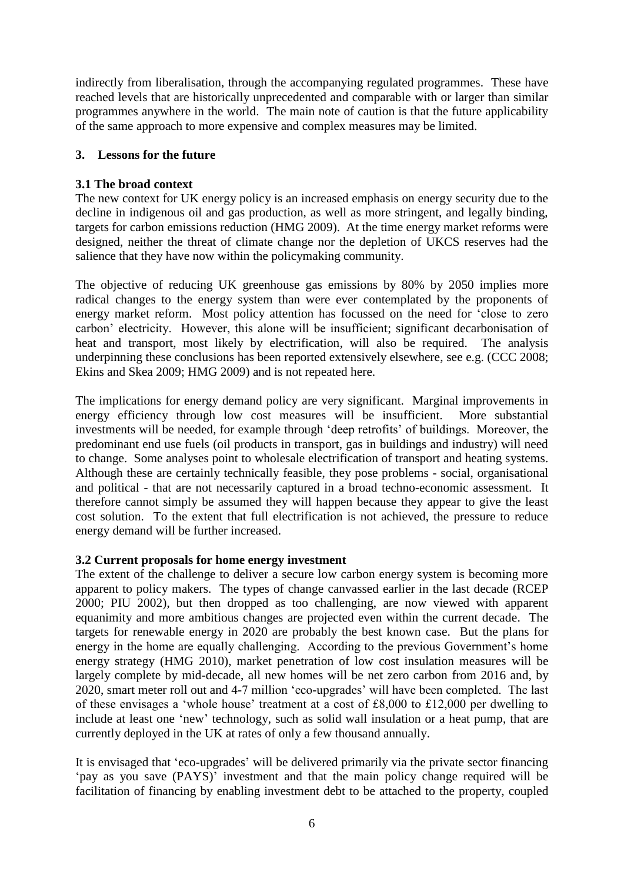indirectly from liberalisation, through the accompanying regulated programmes. These have reached levels that are historically unprecedented and comparable with or larger than similar programmes anywhere in the world. The main note of caution is that the future applicability of the same approach to more expensive and complex measures may be limited.

## **3. Lessons for the future**

### **3.1 The broad context**

The new context for UK energy policy is an increased emphasis on energy security due to the decline in indigenous oil and gas production, as well as more stringent, and legally binding, targets for carbon emissions reduction (HMG 2009). At the time energy market reforms were designed, neither the threat of climate change nor the depletion of UKCS reserves had the salience that they have now within the policymaking community.

The objective of reducing UK greenhouse gas emissions by 80% by 2050 implies more radical changes to the energy system than were ever contemplated by the proponents of energy market reform. Most policy attention has focussed on the need for "close to zero carbon" electricity. However, this alone will be insufficient; significant decarbonisation of heat and transport, most likely by electrification, will also be required. The analysis underpinning these conclusions has been reported extensively elsewhere, see e.g. (CCC 2008; Ekins and Skea 2009; HMG 2009) and is not repeated here.

The implications for energy demand policy are very significant. Marginal improvements in energy efficiency through low cost measures will be insufficient. More substantial investments will be needed, for example through "deep retrofits" of buildings. Moreover, the predominant end use fuels (oil products in transport, gas in buildings and industry) will need to change. Some analyses point to wholesale electrification of transport and heating systems. Although these are certainly technically feasible, they pose problems - social, organisational and political - that are not necessarily captured in a broad techno-economic assessment. It therefore cannot simply be assumed they will happen because they appear to give the least cost solution. To the extent that full electrification is not achieved, the pressure to reduce energy demand will be further increased.

# **3.2 Current proposals for home energy investment**

The extent of the challenge to deliver a secure low carbon energy system is becoming more apparent to policy makers. The types of change canvassed earlier in the last decade (RCEP 2000; PIU 2002), but then dropped as too challenging, are now viewed with apparent equanimity and more ambitious changes are projected even within the current decade. The targets for renewable energy in 2020 are probably the best known case. But the plans for energy in the home are equally challenging. According to the previous Government's home energy strategy (HMG 2010), market penetration of low cost insulation measures will be largely complete by mid-decade, all new homes will be net zero carbon from 2016 and, by 2020, smart meter roll out and 4-7 million "eco-upgrades" will have been completed. The last of these envisages a "whole house" treatment at a cost of £8,000 to £12,000 per dwelling to include at least one "new" technology, such as solid wall insulation or a heat pump, that are currently deployed in the UK at rates of only a few thousand annually.

It is envisaged that "eco-upgrades" will be delivered primarily via the private sector financing "pay as you save (PAYS)" investment and that the main policy change required will be facilitation of financing by enabling investment debt to be attached to the property, coupled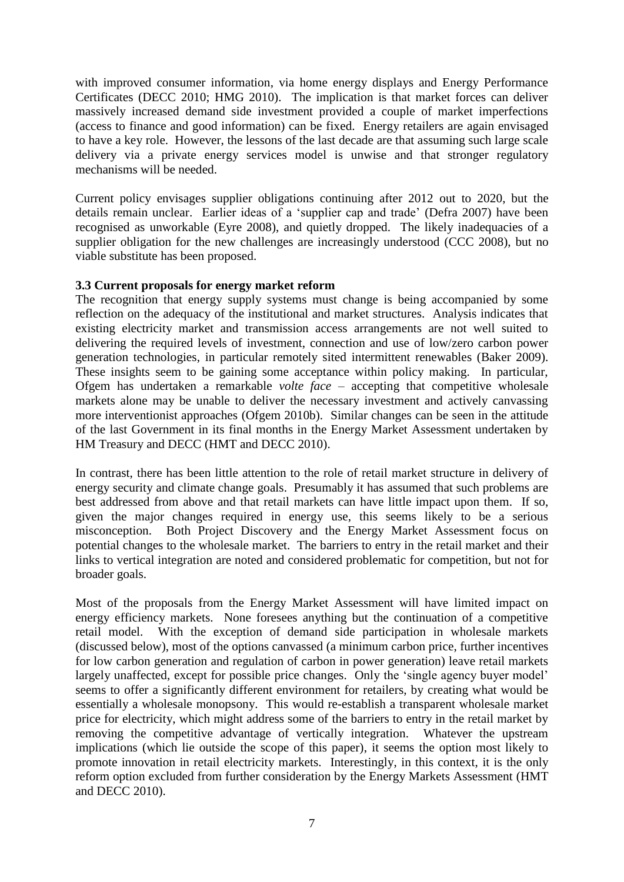with improved consumer information, via home energy displays and Energy Performance Certificates (DECC 2010; HMG 2010). The implication is that market forces can deliver massively increased demand side investment provided a couple of market imperfections (access to finance and good information) can be fixed. Energy retailers are again envisaged to have a key role. However, the lessons of the last decade are that assuming such large scale delivery via a private energy services model is unwise and that stronger regulatory mechanisms will be needed.

Current policy envisages supplier obligations continuing after 2012 out to 2020, but the details remain unclear. Earlier ideas of a "supplier cap and trade" (Defra 2007) have been recognised as unworkable (Eyre 2008), and quietly dropped. The likely inadequacies of a supplier obligation for the new challenges are increasingly understood (CCC 2008), but no viable substitute has been proposed.

#### **3.3 Current proposals for energy market reform**

The recognition that energy supply systems must change is being accompanied by some reflection on the adequacy of the institutional and market structures. Analysis indicates that existing electricity market and transmission access arrangements are not well suited to delivering the required levels of investment, connection and use of low/zero carbon power generation technologies, in particular remotely sited intermittent renewables (Baker 2009). These insights seem to be gaining some acceptance within policy making. In particular, Ofgem has undertaken a remarkable *volte face* – accepting that competitive wholesale markets alone may be unable to deliver the necessary investment and actively canvassing more interventionist approaches (Ofgem 2010b). Similar changes can be seen in the attitude of the last Government in its final months in the Energy Market Assessment undertaken by HM Treasury and DECC (HMT and DECC 2010).

In contrast, there has been little attention to the role of retail market structure in delivery of energy security and climate change goals. Presumably it has assumed that such problems are best addressed from above and that retail markets can have little impact upon them. If so, given the major changes required in energy use, this seems likely to be a serious misconception. Both Project Discovery and the Energy Market Assessment focus on potential changes to the wholesale market. The barriers to entry in the retail market and their links to vertical integration are noted and considered problematic for competition, but not for broader goals.

Most of the proposals from the Energy Market Assessment will have limited impact on energy efficiency markets. None foresees anything but the continuation of a competitive retail model. With the exception of demand side participation in wholesale markets (discussed below), most of the options canvassed (a minimum carbon price, further incentives for low carbon generation and regulation of carbon in power generation) leave retail markets largely unaffected, except for possible price changes. Only the 'single agency buyer model' seems to offer a significantly different environment for retailers, by creating what would be essentially a wholesale monopsony. This would re-establish a transparent wholesale market price for electricity, which might address some of the barriers to entry in the retail market by removing the competitive advantage of vertically integration. Whatever the upstream implications (which lie outside the scope of this paper), it seems the option most likely to promote innovation in retail electricity markets. Interestingly, in this context, it is the only reform option excluded from further consideration by the Energy Markets Assessment (HMT and DECC 2010).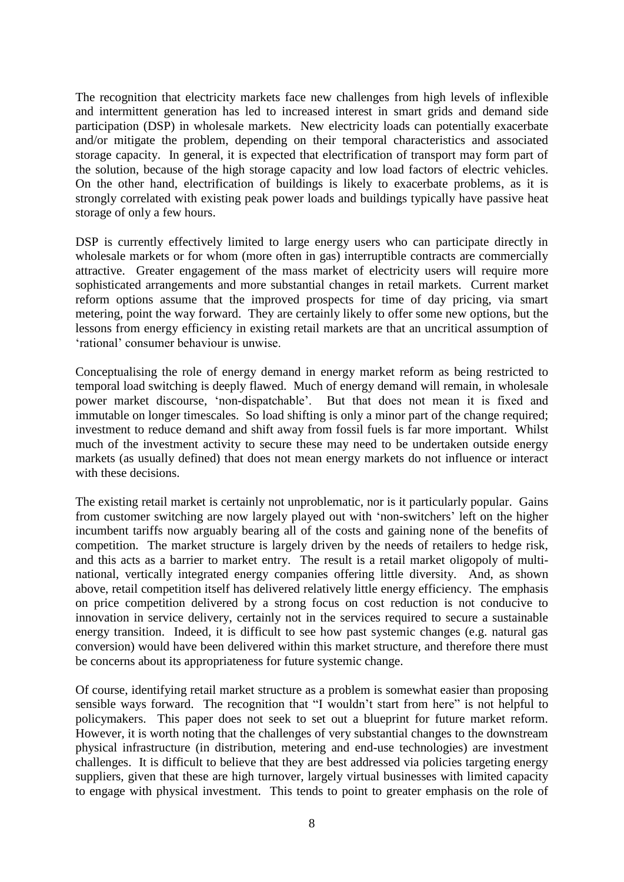The recognition that electricity markets face new challenges from high levels of inflexible and intermittent generation has led to increased interest in smart grids and demand side participation (DSP) in wholesale markets. New electricity loads can potentially exacerbate and/or mitigate the problem, depending on their temporal characteristics and associated storage capacity. In general, it is expected that electrification of transport may form part of the solution, because of the high storage capacity and low load factors of electric vehicles. On the other hand, electrification of buildings is likely to exacerbate problems, as it is strongly correlated with existing peak power loads and buildings typically have passive heat storage of only a few hours.

DSP is currently effectively limited to large energy users who can participate directly in wholesale markets or for whom (more often in gas) interruptible contracts are commercially attractive. Greater engagement of the mass market of electricity users will require more sophisticated arrangements and more substantial changes in retail markets. Current market reform options assume that the improved prospects for time of day pricing, via smart metering, point the way forward. They are certainly likely to offer some new options, but the lessons from energy efficiency in existing retail markets are that an uncritical assumption of 'rational' consumer behaviour is unwise.

Conceptualising the role of energy demand in energy market reform as being restricted to temporal load switching is deeply flawed. Much of energy demand will remain, in wholesale power market discourse, "non-dispatchable". But that does not mean it is fixed and immutable on longer timescales. So load shifting is only a minor part of the change required; investment to reduce demand and shift away from fossil fuels is far more important. Whilst much of the investment activity to secure these may need to be undertaken outside energy markets (as usually defined) that does not mean energy markets do not influence or interact with these decisions.

The existing retail market is certainly not unproblematic, nor is it particularly popular. Gains from customer switching are now largely played out with "non-switchers" left on the higher incumbent tariffs now arguably bearing all of the costs and gaining none of the benefits of competition. The market structure is largely driven by the needs of retailers to hedge risk, and this acts as a barrier to market entry. The result is a retail market oligopoly of multinational, vertically integrated energy companies offering little diversity. And, as shown above, retail competition itself has delivered relatively little energy efficiency. The emphasis on price competition delivered by a strong focus on cost reduction is not conducive to innovation in service delivery, certainly not in the services required to secure a sustainable energy transition. Indeed, it is difficult to see how past systemic changes (e.g. natural gas conversion) would have been delivered within this market structure, and therefore there must be concerns about its appropriateness for future systemic change.

Of course, identifying retail market structure as a problem is somewhat easier than proposing sensible ways forward. The recognition that "I wouldn"t start from here" is not helpful to policymakers. This paper does not seek to set out a blueprint for future market reform. However, it is worth noting that the challenges of very substantial changes to the downstream physical infrastructure (in distribution, metering and end-use technologies) are investment challenges. It is difficult to believe that they are best addressed via policies targeting energy suppliers, given that these are high turnover, largely virtual businesses with limited capacity to engage with physical investment. This tends to point to greater emphasis on the role of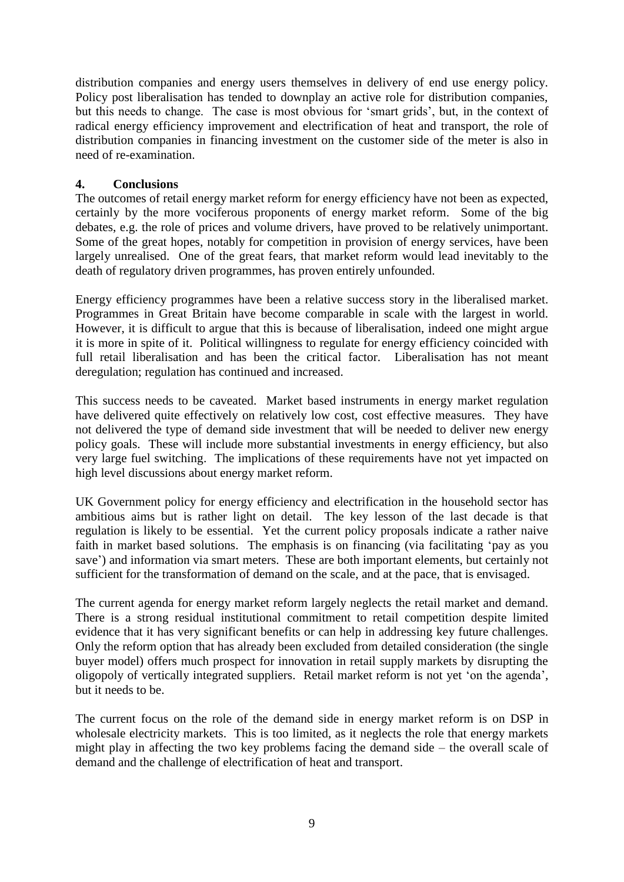distribution companies and energy users themselves in delivery of end use energy policy. Policy post liberalisation has tended to downplay an active role for distribution companies, but this needs to change. The case is most obvious for "smart grids", but, in the context of radical energy efficiency improvement and electrification of heat and transport, the role of distribution companies in financing investment on the customer side of the meter is also in need of re-examination.

# **4. Conclusions**

The outcomes of retail energy market reform for energy efficiency have not been as expected, certainly by the more vociferous proponents of energy market reform. Some of the big debates, e.g. the role of prices and volume drivers, have proved to be relatively unimportant. Some of the great hopes, notably for competition in provision of energy services, have been largely unrealised. One of the great fears, that market reform would lead inevitably to the death of regulatory driven programmes, has proven entirely unfounded.

Energy efficiency programmes have been a relative success story in the liberalised market. Programmes in Great Britain have become comparable in scale with the largest in world. However, it is difficult to argue that this is because of liberalisation, indeed one might argue it is more in spite of it. Political willingness to regulate for energy efficiency coincided with full retail liberalisation and has been the critical factor. Liberalisation has not meant deregulation; regulation has continued and increased.

This success needs to be caveated. Market based instruments in energy market regulation have delivered quite effectively on relatively low cost, cost effective measures. They have not delivered the type of demand side investment that will be needed to deliver new energy policy goals. These will include more substantial investments in energy efficiency, but also very large fuel switching. The implications of these requirements have not yet impacted on high level discussions about energy market reform.

UK Government policy for energy efficiency and electrification in the household sector has ambitious aims but is rather light on detail. The key lesson of the last decade is that regulation is likely to be essential. Yet the current policy proposals indicate a rather naive faith in market based solutions. The emphasis is on financing (via facilitating "pay as you save') and information via smart meters. These are both important elements, but certainly not sufficient for the transformation of demand on the scale, and at the pace, that is envisaged.

The current agenda for energy market reform largely neglects the retail market and demand. There is a strong residual institutional commitment to retail competition despite limited evidence that it has very significant benefits or can help in addressing key future challenges. Only the reform option that has already been excluded from detailed consideration (the single buyer model) offers much prospect for innovation in retail supply markets by disrupting the oligopoly of vertically integrated suppliers. Retail market reform is not yet "on the agenda", but it needs to be.

The current focus on the role of the demand side in energy market reform is on DSP in wholesale electricity markets. This is too limited, as it neglects the role that energy markets might play in affecting the two key problems facing the demand side – the overall scale of demand and the challenge of electrification of heat and transport.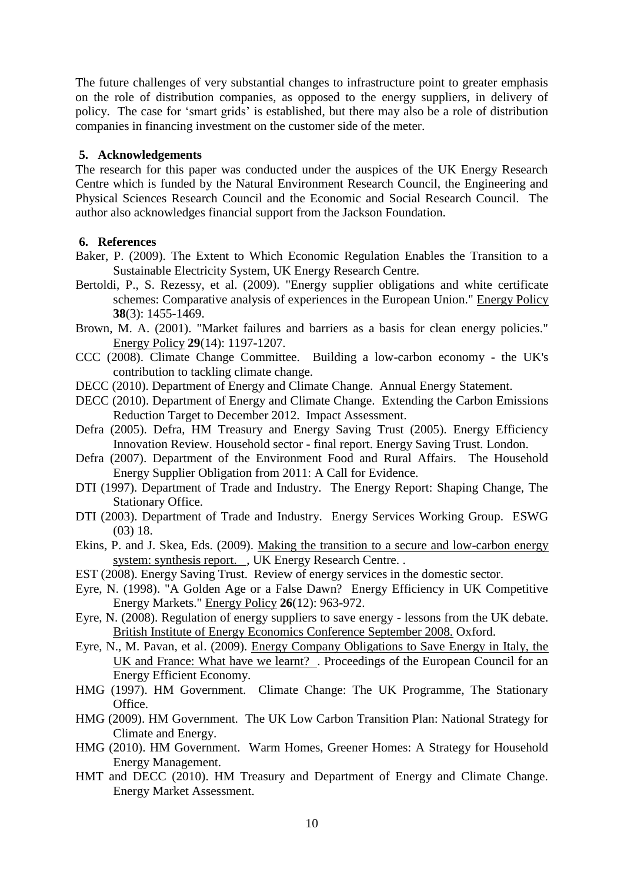The future challenges of very substantial changes to infrastructure point to greater emphasis on the role of distribution companies, as opposed to the energy suppliers, in delivery of policy. The case for "smart grids" is established, but there may also be a role of distribution companies in financing investment on the customer side of the meter.

### **5. Acknowledgements**

The research for this paper was conducted under the auspices of the UK Energy Research Centre which is funded by the Natural Environment Research Council, the Engineering and Physical Sciences Research Council and the Economic and Social Research Council. The author also acknowledges financial support from the Jackson Foundation.

## **6. References**

- Baker, P. (2009). The Extent to Which Economic Regulation Enables the Transition to a Sustainable Electricity System, UK Energy Research Centre.
- Bertoldi, P., S. Rezessy, et al. (2009). "Energy supplier obligations and white certificate schemes: Comparative analysis of experiences in the European Union." Energy Policy **38**(3): 1455-1469.
- Brown, M. A. (2001). "Market failures and barriers as a basis for clean energy policies." Energy Policy **29**(14): 1197-1207.
- CCC (2008). Climate Change Committee. Building a low-carbon economy the UK's contribution to tackling climate change.
- DECC (2010). Department of Energy and Climate Change. Annual Energy Statement.
- DECC (2010). Department of Energy and Climate Change. Extending the Carbon Emissions Reduction Target to December 2012. Impact Assessment.
- Defra (2005). Defra, HM Treasury and Energy Saving Trust (2005). Energy Efficiency Innovation Review. Household sector - final report. Energy Saving Trust. London.
- Defra (2007). Department of the Environment Food and Rural Affairs. The Household Energy Supplier Obligation from 2011: A Call for Evidence.
- DTI (1997). Department of Trade and Industry. The Energy Report: Shaping Change, The Stationary Office.
- DTI (2003). Department of Trade and Industry. Energy Services Working Group. ESWG (03) 18.
- Ekins, P. and J. Skea, Eds. (2009). Making the transition to a secure and low-carbon energy system: synthesis report. , UK Energy Research Centre. .
- EST (2008). Energy Saving Trust. Review of energy services in the domestic sector.
- Eyre, N. (1998). "A Golden Age or a False Dawn? Energy Efficiency in UK Competitive Energy Markets." Energy Policy **26**(12): 963-972.
- Eyre, N. (2008). Regulation of energy suppliers to save energy lessons from the UK debate. British Institute of Energy Economics Conference September 2008. Oxford.
- Eyre, N., M. Pavan, et al. (2009). Energy Company Obligations to Save Energy in Italy, the UK and France: What have we learnt? . Proceedings of the European Council for an Energy Efficient Economy.
- HMG (1997). HM Government. Climate Change: The UK Programme, The Stationary Office.
- HMG (2009). HM Government. The UK Low Carbon Transition Plan: National Strategy for Climate and Energy.
- HMG (2010). HM Government. Warm Homes, Greener Homes: A Strategy for Household Energy Management.
- HMT and DECC (2010). HM Treasury and Department of Energy and Climate Change. Energy Market Assessment.